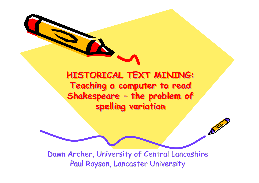

 $\mathcal{S}^{\prime\prime}$ 

Dawn Archer, University of Central Lancashire Paul Rayson, Lancaster University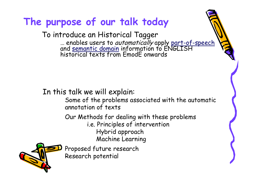# **The purpose of our talk today**

To introduce an Historical Tagger … enables users to *automatically* apply <u>part-of-speech</u><br>and semantic domain information to ENGLISH historical texts from EmodE onwards

In this talk we will explain:

Some of the problems associated with the automatic annotation of texts

Our Methods for dealing with these problems i.e. Principles of intervention Hybrid approach Machine Learning

Proposed future research Research potential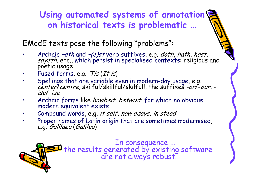## **Using automated systems of annotation on historical texts is problematic …**

EModE texts pose the following "problems":

- •Archaic *-eth* and *-(e)st* verb suffixes, e.g. *doth, hath, hast,* sayeth, etc., which persist in specialised contexts: religious and poetic usage
- •Fused forms, e.g. 'Tis (It is)
- •Spellings that are variable even in modern-day usage, e.g. center/centre, skilful/skillful/skilfull, the suffixes -or/-our, ise/-ize
- • Archaic forms like howbeit, betwixt, for which no obvious modern equivalent exists
- •Compound words, e.g. it self, now adays, in stead
- • Proper names of Latin origin that are sometimes modernised, e.g. *Galilaeo* (*Galileo*)

In consequence ...<br>the results generated by existing software<br>are not always robust!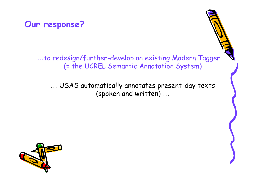

#### …to redesign/further-develop an existing Modern Tagger (= the UCREL Semantic Annotation System)

… USAS automatically annotates present-day texts (spoken and written) …

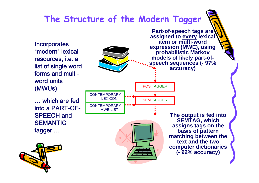## **The Structure of the Modern Tagger**

Incorporates "modern" lexical resources, i.e. a list of single word forms and multiword units (MWUs)

… which are fed into a PART-OF-SPEECH and **SEMANTIC** tagger …







**The output is fed into SEMTAG, which assigns tags on the basis of pattern matching between the text and the two computer dictionaries (- 92% accuracy)**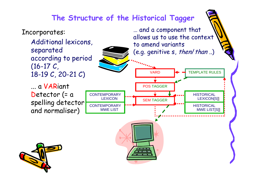#### **The Structure of the Historical Tagger**

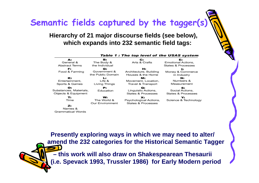# **Semantic fields captured by the tagger(s)**

#### **Hierarchy of 21 major discourse fields (see below), which expands into 232 semantic field tags:**

| A:<br>General &<br>Abstract Terms                   | в.<br>The Body &<br>the Individual      | c:<br>Arts & Crafts                                | E:<br>Emotional Actions,<br>States & Processes |  |
|-----------------------------------------------------|-----------------------------------------|----------------------------------------------------|------------------------------------------------|--|
| F.<br>Food & Farming                                | G:<br>Government &<br>the Public Domain | н.<br>Architecture, Building<br>Houses & the Home  | l z<br>Money & Commerce<br>in Industry         |  |
| ĸ.<br>Entertainment,<br>Sports & Games              | Ł.<br>Life &<br>Living Things           | M:<br>Movement, Location,<br>Travel & Transport    | м:<br>Numbers &<br>Measurement                 |  |
| о.<br>Substances, Materials,<br>Objects & Equipment | P:<br>Education                         | Q:<br>Linguistic Actions,<br>States & Processes    | s:<br>Social Actions,<br>States & Processes    |  |
| т.<br>Time                                          | w.<br>The World &<br>Our Environment    | x:<br>Psychological Actions,<br>States & Processes | Y:<br>Science & Technology                     |  |
| z:<br>Names &<br>Grammatical Words                  |                                         |                                                    |                                                |  |

Table 1 : The top level of the USAS system

**Presently exploring ways in which we may need to alter/ amend the 232 categories for the Historical Semantic Tagger – this work will also draw on Shakespearean Thesaurii (i.e. Spevack 1993, Trussler 1986) for Early Modern period**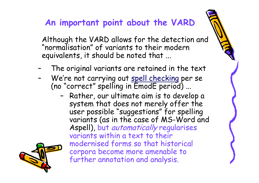## **An important point about the VARD**

Although the VARD allows for the detection and "normalisation" of variants to their modern equivalents, it should be noted that ...

- –The original variants are retained in the text
- –We're not carrying out spell checking per se (no "correct" spelling in EmodE period) ...
	- – Rather, our ultimate aim is to develop a system that does not merely offer the user possible "suggestions" for spelling variants (as in the case of MS-Word and Aspell), but automatically regularises variants within a text to their modernised forms so that historical corpora become more amenable to further annotation and analysis.

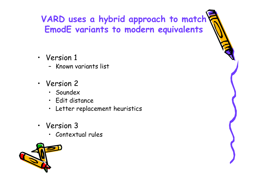# **VARD uses a hybrid approach to match EmodE variants to modern equivalents**

- Version 1
	- Known variants list
- Version 2
	- Soundex
	- Edit distance
	- Letter replacement heuristics
- Version 3
	- Contextual rules

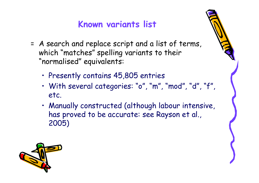# **Known variants list**

- = A search and replace script and a list of terms, which "matches" spelling variants to their "normalised" equivalents:
	- Presently contains 45,805 entries
	- With several categories: "o", "m", "mod", "d", "f", etc.
	- Manually constructed (although labour intensive, has proved to be accurate: see Rayson et al., 2005)

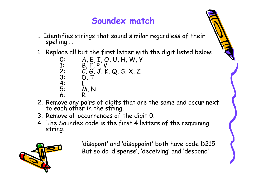#### **Soundex match**

- … Identifies strings that sound similar regardless of their spelling …
- 1. Replace all but the first letter with the digit listed below:

0: A, E, I, O, U, H, W, Y 1: B, F, P, V 2: C, G, J, K, Q, S, X, Z 3: D, T 4: L 5: M, N 6: R

- 2. Remove any pairs of digits that are the same and occur next to each other in the string.
- 3. Remove all occurrences of the digit 0.
- 4. The Soundex code is the first 4 letters of the remaining string.



'disapont' and 'disappoint' both have code D215 But so do 'dispense', 'deceiving' and 'despond'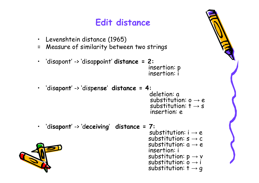# **Edit distance**

- •Levenshtein distance (1965)
- = Measure of similarity between two strings
- •'disapont' -> 'disap**p**o**i**nt' **distance = 2:**insertion: p insertion: i

- • 'dis**a**p**o**n**t**' -> 'disp**e**n**se**' **distance = 4:**deletion: a substitution: o  $\rightarrow$  e substitution: t  $\rightarrow$  s insertion: e
- •**'disapont' -> 'deceiving' distance = 7:**

substitution:  $i \rightarrow e$ substitution: s  $\rightarrow$  c substitution: a  $\rightarrow$  e insertion: i substitution: p  $\rightarrow$  v<br>substitution: o  $\rightarrow$  i substitution: t  $\rightarrow$  g

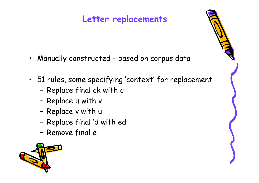# **Letter replacements**

- •Manually constructed - based on corpus data
- 51 rules, some specifying 'context' for replacement
	- –Replace final ck with c
	- –Replace u with v
	- –Replace v with u
	- –Replace final 'd with ed
	- –Remove final e

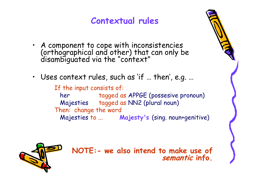## **Contextual rules**

- A component to cope with inconsistencies (orthographical and other) that can only be disambiguated via the "context"
- Uses context rules, such as 'if … then', e.g. …

If the input consists of: her tagged as APPGE (possesive pronoun) Majesties tagged as NN2 (plural noun) Then: change the word Majesties to ... **Majesty's** (sing. noun+genitive)



**NOTE:- we also intend to make use of semantic info.**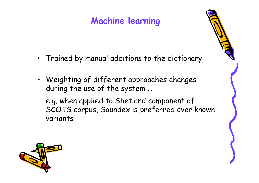# **Machine learning**

- Trained by manual additions to the dictionary
- Weighting of different approaches changes during the use of the system …

e.g. when applied to Shetland component of SCOTS corpus, Soundex is preferred over known variants

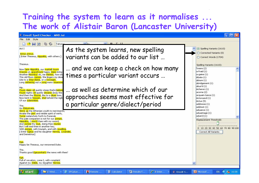#### **Training the system to learn as it normalises ... The work of Alistair Baron (Lancaster University)**

#### EmodE Spell Checker - MND.txt

File Edit Style

 $\Box$ ok

| Tahom                                                                                                                                                                                                                                                                                                                                                                                                                                                                   |                                                                                                               |
|-------------------------------------------------------------------------------------------------------------------------------------------------------------------------------------------------------------------------------------------------------------------------------------------------------------------------------------------------------------------------------------------------------------------------------------------------------------------------|---------------------------------------------------------------------------------------------------------------|
| Act I<br>Actus primus.<br>[Enter Theseus, Hippolita, with others.]                                                                                                                                                                                                                                                                                                                                                                                                      | As the system learns, new spelling<br>variants can be added to our list                                       |
| Theseus.<br>Now <mark>faire Hippolita</mark> , our <mark>nuptiall houre</mark> .<br>Drawes on apacefoure happy daies bring<br>Another Moonbut oh, me thinkes, how slo<br>This old Moon wanes; She lingers my desir<br>Like to a <mark>Step-dame</mark> , or a <mark>Dowager</mark> ,<br>Long <mark>withering</mark> out a <mark>yong</mark> mans <mark>reuennev</mark>                                                                                                  | and we can keep a check on how many<br>times a particular variant occurs                                      |
| Hip.<br>Foure daies wil quickly steep the[m]selues<br>Foure nights wil quickly dreame away the<br>And then the Moone, like to a siluer bow,<br>Now bent in heauen, shal behold the nigh<br>Of our solemnities.<br>The.<br>Go Philostrate,                                                                                                                                                                                                                               | as well as determine which of our<br>approaches seems most effective for<br>a particular genre/dialect/period |
| Stirre vp the Athenian youth to merriments,<br>Awake the pert and nimble spirit of mirth,<br>Turne melancholy forth to Funerals<br>The pale companion is not for our pompe,<br>Hippolita, I woo'd thee with my sword,<br>And <mark>wonne</mark> thy <mark>loue</mark> , doing thee i <mark>niuries</mark><br>But I will wed thee in another key,<br>With pompe, with triumph, and with reuelling.<br>[ Enter Egeus and his daughter Hermia, Lysander,<br>and Demetrius] |                                                                                                               |
| Ege.<br>Happy be Theseus, our renowned Duke.<br>The.<br>Thanks good Egeuswhat's the news with thee?                                                                                                                                                                                                                                                                                                                                                                     |                                                                                                               |

#### Ege.

**Start** 

Full of vexation, come I, with complaint Against my childe, my daughter Hermia.

**■ 2** Wind... →

D SPCplusr...



Microsof...

EN (2) to 16:08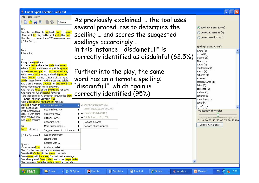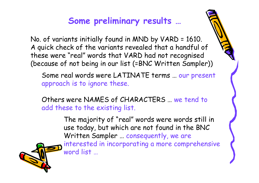# **Some preliminary results …**

No. of variants initially found in MND by VARD = 1610. A quick check of the variants revealed that a handful of these were "real" words that VARD had not recognised (because of not being in our list (=BNC Written Sampler))

Some real words were LATINATE terms … our presen<sup>t</sup> approach is to ignore these.

Others were NAMES of CHARACTERS … we tend to add these to the existing list.

> The majority of "real" words were words still in use today, but which are not found in the BNC Written Sampler … consequently, we are interested in incorporating a more comprehensive word list …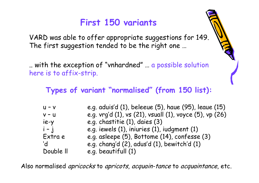# **First 150 variants**

VARD was able to offer appropriate suggestions for 149. The first suggestion tended to be the right one …

.. with the exception of "vnhardned" … a possible solution here is to affix-strip.

#### **Types of variant "normalised" (from 150 list):**

| $U - V$   | e.g. aduis'd (1), beleeue (5), haue (95), leaue (15)    |
|-----------|---------------------------------------------------------|
| $V - U$   | e.g. vrg'd (1), vs (21), vsuall (1), voyce (5), vp (26) |
| ie-y      | e.g. chastitie (1), daies (3)                           |
| $i - j$   | e.g. iewels (1), iniuries (1), iudgment (1)             |
| Extra e   | e.g. asleepe (5), Bottome (14), confesse (3)            |
| 'd        | e.g. chang'd (2), adus'd (1), bewitch'd (1)             |
| Double II | e.g. beautifull (1)                                     |

Also normalised *apricocks* to *apricots, acquain-tance* to *acquaintance*, etc.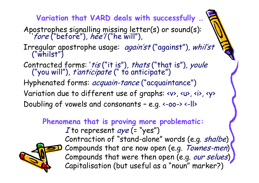**Variation that VARD deals with successfully …**

- Apostrophes signalling missing letter(s) or sound(s):<br>'fore ("before"), hee'l ("he will"),
- Irregular apostrophe usage: again'st ("against"), whil'st ("whilst")
- Contracted forms: 'tis ("it is"), thats ("that is"), youle ("you will"), t'anticipate (" to anticipate")
- Hyphenated forms: acquain-tance ("acquaintance")
- Variation due to different use of graphs: <v>, <u>, <i>, <y>
- Doubling of vowels and consonants e.g. <-oo-> <-ll>

**Phenomena that is proving more problematic:**

I to represent aye (= "yes") Contraction of "stand-alone" words (e.g. shalbe) Compounds that are now open (e.g. Townes-men) Compounds that were then open (e.g. our selues) Capitalisation (but useful as a "noun" marker?)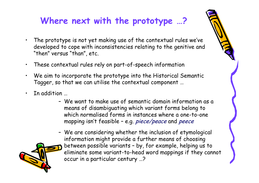# **Where next with the prototype …?**

- • The prototype is not yet making use of the contextual rules we've developed to cope with inconsistencies relating to the genitive and "then" versus "than", etc.
- •These contextual rules rely on part-of-speech information
- • We aim to incorporate the prototype into the Historical Semantic Tagger, so that we can utilise the contextual component …
- • In addition …
	- We want to make use of semantic domain information as a means of disambiguating which variant forms belong to which normalised forms in instances where a one-to-one mapping isn't feasible – e.g. piece/peace and peece
	- We are considering whether the inclusion of etymological information might provide a further means of choosing between possible variants – by, for example, helping us to eliminate some variant-to-head word mappings if they cannot occur in a particular century …?

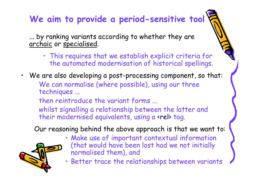# **We aim to provide a period-sensitive tool**

... by ranking variants according to whether they are archaic or specialised.

- This requires that we establish explicit criteria for the automated modernisation of historical spellings.
- •We are also developing a post-processing component, so that: We can normalise (where possible), using our three techniques ...
	- then reintroduce the variant forms ...
	- whilst signalling a relationship between the latter and their modernised equivalents, using a «rel» tag.

Our reasoning behind the above approach is that we want to:



• Better trace the relationships between variants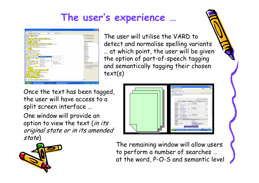# **The user's experience …**



The user will utilise the VARD to detect and normalise spelling variants … at which point, the user will be given the option of part-of-speech tagging and semantically tagging their chosen text(s)

Once the text has been tagged, the user will have access to a split screen interface …

One window will provide an option to view the text (in its original state or in its amended state)



The remaining window will allow users to perform a number of searches … at the word, P-O-S and semantic level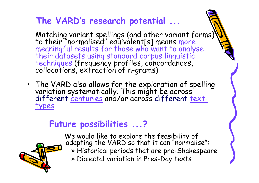# **The VARD's research potential ...**

Matching variant spellings (and other variant forms)<br>to their "normalised" equivalent[s] means more<br>meaningful results for those who want to analyse<br>their datasets using standard corpus linguistic<br>techniques (frequency pro

• The VARD also allows for the exploration of spelling variation systematically. This might be across different centuries and/or across different texttypes

# **Future possibilities ...?**

We would like to explore the feasibility of<br>adapting the VARD so that it can "normalise": » Historical periods that are pre-Shakespeare » Dialectal variation in Pres-Day texts